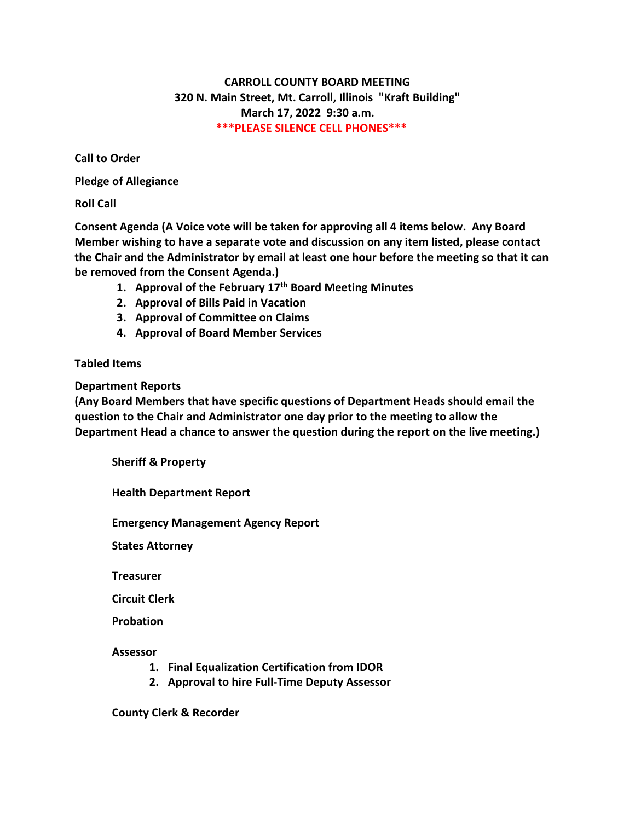## **CARROLL COUNTY BOARD MEETING 320 N. Main Street, Mt. Carroll, Illinois "Kraft Building" March 17, 2022 9:30 a.m. \*\*\*PLEASE SILENCE CELL PHONES\*\*\***

**Call to Order**

**Pledge of Allegiance**

**Roll Call**

**Consent Agenda (A Voice vote will be taken for approving all 4 items below. Any Board Member wishing to have a separate vote and discussion on any item listed, please contact the Chair and the Administrator by email at least one hour before the meeting so that it can be removed from the Consent Agenda.)**

- **1. Approval of the February 17th Board Meeting Minutes**
- **2. Approval of Bills Paid in Vacation**
- **3. Approval of Committee on Claims**
- **4. Approval of Board Member Services**

## **Tabled Items**

**Department Reports**

**(Any Board Members that have specific questions of Department Heads should email the question to the Chair and Administrator one day prior to the meeting to allow the Department Head a chance to answer the question during the report on the live meeting.)**

**Sheriff & Property**

**Health Department Report**

**Emergency Management Agency Report**

**States Attorney**

**Treasurer**

**Circuit Clerk**

**Probation**

**Assessor**

- **1. Final Equalization Certification from IDOR**
- **2. Approval to hire Full-Time Deputy Assessor**

**County Clerk & Recorder**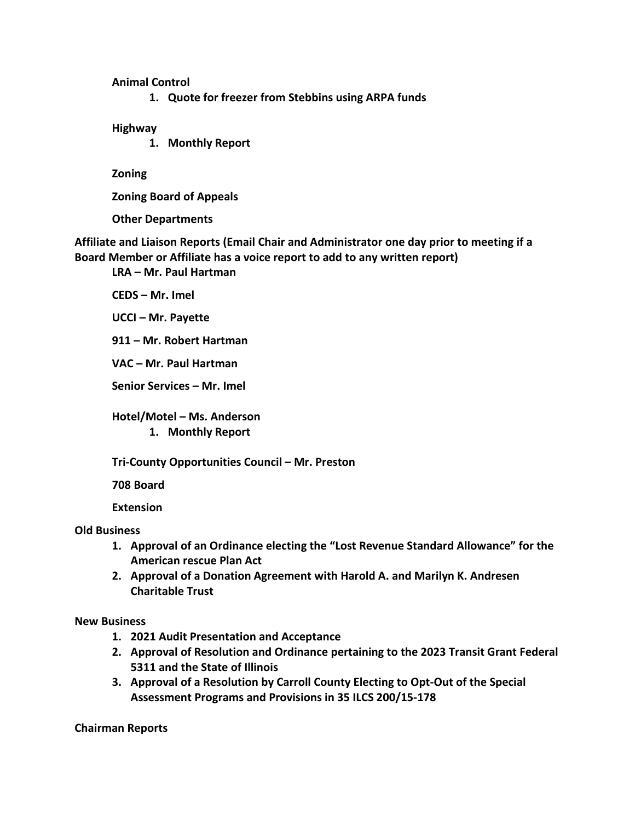## **Animal Control**

**1. Quote for freezer from Stebbins using ARPA funds**

**Highway**

**1. Monthly Report**

**Zoning**

**Zoning Board of Appeals**

**Other Departments**

**Affiliate and Liaison Reports (Email Chair and Administrator one day prior to meeting if a Board Member or Affiliate has a voice report to add to any written report)**

**LRA – Mr. Paul Hartman**

**CEDS – Mr. Imel**

**UCCI – Mr. Payette**

**911 – Mr. Robert Hartman**

**VAC – Mr. Paul Hartman**

**Senior Services – Mr. Imel**

**Hotel/Motel – Ms. Anderson 1. Monthly Report**

**Tri-County Opportunities Council – Mr. Preston**

**708 Board**

**Extension**

**Old Business**

- **1. Approval of an Ordinance electing the "Lost Revenue Standard Allowance" for the American rescue Plan Act**
- **2. Approval of a Donation Agreement with Harold A. and Marilyn K. Andresen Charitable Trust**

**New Business**

- **1. 2021 Audit Presentation and Acceptance**
- **2. Approval of Resolution and Ordinance pertaining to the 2023 Transit Grant Federal 5311 and the State of Illinois**
- **3. Approval of a Resolution by Carroll County Electing to Opt-Out of the Special Assessment Programs and Provisions in 35 ILCS 200/15-178**

**Chairman Reports**